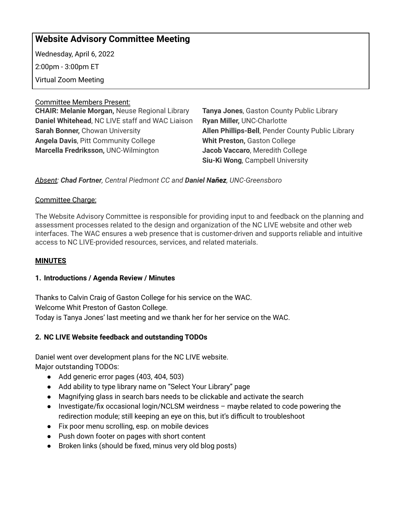# **Website Advisory Committee Meeting**

Wednesday, April 6, 2022 2:00pm - 3:00pm ET Virtual Zoom Meeting

Committee Members Present:

**CHAIR: Melanie Morgan,** Neuse Regional Library **Daniel Whitehead**, NC LIVE staff and WAC Liaison **Sarah Bonner,** Chowan University **Angela Davis**, Pitt Community College **Marcella Fredriksson,** UNC-Wilmington

**Tanya Jones**, Gaston County Public Library **Ryan Miller,** UNC-Charlotte **Allen Phillips-Bell**, Pender County Public Library **Whit Preston,** Gaston College **Jacob Vaccaro**, Meredith College **Siu-Ki Wong**, Campbell University

# *Absent: Chad Fortner, Central Piedmont CC and Daniel Nañez, UNC-Greensboro*

# Committee Charge:

The Website Advisory Committee is responsible for providing input to and feedback on the planning and assessment processes related to the design and organization of the NC LIVE website and other web interfaces. The WAC ensures a web presence that is customer-driven and supports reliable and intuitive access to NC LIVE-provided resources, services, and related materials.

# **MINUTES**

# **1. Introductions / Agenda Review / Minutes**

Thanks to Calvin Craig of Gaston College for his service on the WAC. Welcome Whit Preston of Gaston College. Today is Tanya Jones' last meeting and we thank her for her service on the WAC.

# **2. NC LIVE Website feedback and outstanding TODOs**

Daniel went over development plans for the NC LIVE website. Major outstanding TODOs:

- Add generic error pages (403, 404, 503)
- Add ability to type library name on "Select Your Library" page
- Magnifying glass in search bars needs to be clickable and activate the search
- Investigate/fix occasional login/NCLSM weirdness maybe related to code powering the redirection module; still keeping an eye on this, but it's difficult to troubleshoot
- Fix poor menu scrolling, esp. on mobile devices
- Push down footer on pages with short content
- Broken links (should be fixed, minus very old blog posts)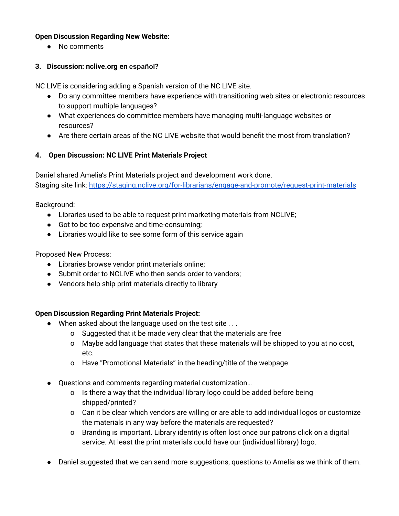#### **Open Discussion Regarding New Website:**

● No comments

# **3. Discussion: nclive.org en español?**

NC LIVE is considering adding a Spanish version of the NC LIVE site.

- Do any committee members have experience with transitioning web sites or electronic resources to support multiple languages?
- What experiences do committee members have managing multi-language websites or resources?
- Are there certain areas of the NC LIVE website that would benefit the most from translation?

# **4. Open Discussion: NC LIVE Print Materials Project**

Daniel shared Amelia's Print Materials project and development work done. Staging site link: <https://staging.nclive.org/for-librarians/engage-and-promote/request-print-materials>

Background:

- Libraries used to be able to request print marketing materials from NCLIVE;
- Got to be too expensive and time-consuming;
- Libraries would like to see some form of this service again

Proposed New Process:

- Libraries browse vendor print materials online;
- Submit order to NCLIVE who then sends order to vendors;
- Vendors help ship print materials directly to library

# **Open Discussion Regarding Print Materials Project:**

- When asked about the language used on the test site . . .
	- o Suggested that it be made very clear that the materials are free
	- o Maybe add language that states that these materials will be shipped to you at no cost, etc.
	- o Have "Promotional Materials" in the heading/title of the webpage
- Questions and comments regarding material customization…
	- o Is there a way that the individual library logo could be added before being shipped/printed?
	- o Can it be clear which vendors are willing or are able to add individual logos or customize the materials in any way before the materials are requested?
	- o Branding is important. Library identity is often lost once our patrons click on a digital service. At least the print materials could have our (individual library) logo.
- Daniel suggested that we can send more suggestions, questions to Amelia as we think of them.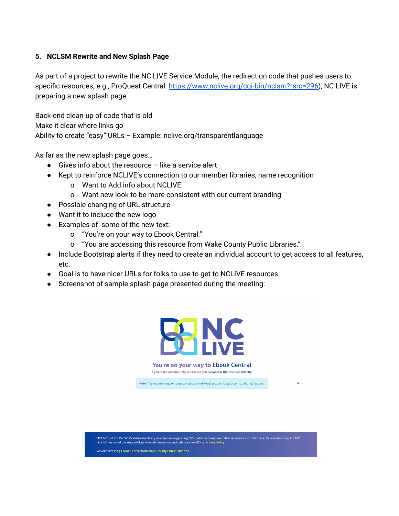#### **5. NCLSM Rewrite and New Splash Page**

As part of a project to rewrite the NC LIVE Service Module, the redirection code that pushes users to specific resources; e.g., ProQuest Central: [https://www.nclive.org/cgi-bin/nclsm?rsrc=296\)](https://www.nclive.org/cgi-bin/nclsm?rsrc=296), NC LIVE is preparing a new splash page.

Back-end clean-up of code that is old Make it clear where links go Ability to create "easy" URLs – Example: nclive.org/transparentlanguage

As far as the new splash page goes…

- $\bullet$  Gives info about the resource like a service alert
- Kept to reinforce NCLIVE's connection to our member libraries, name recognition
	- o Want to Add info about NCLIVE
	- o Want new look to be more consistent with our current branding
- Possible changing of URL structure
- Want it to include the new logo
- Examples of some of the new text:
	- o "You're on your way to Ebook Central."
	- o "You are accessing this resource from Wake County Public Libraries."
- Include Bootstrap alerts if they need to create an individual account to get access to all features, etc.
- Goal is to have nicer URLs for folks to use to get to NCLIVE resources.
- Screenshot of sample splash page presented during the meeting:

You are accessing Ebook Central from Wake County Public Libraries.



You're on your way to Ebook Central If you're not automatically redirected, you can access the resource directly.

Note: This resource requires users to create an individual account to get access to all of its features.

 $\mathbf b$ 

NC LIVE is North Carolina's statewide library cooperative, supporting 200+ public and academic libraries across North Carolina. Since its founding in 1997,<br>NC LIVE has saved the state millions through innovation and collab